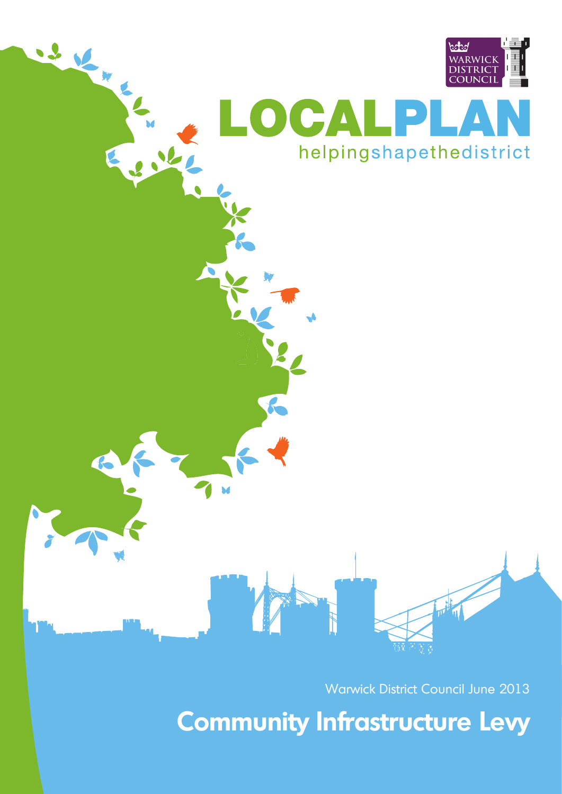

# helpingshapethedistrict

Warwick District Council June 2013

**Community Infrastructure Levy**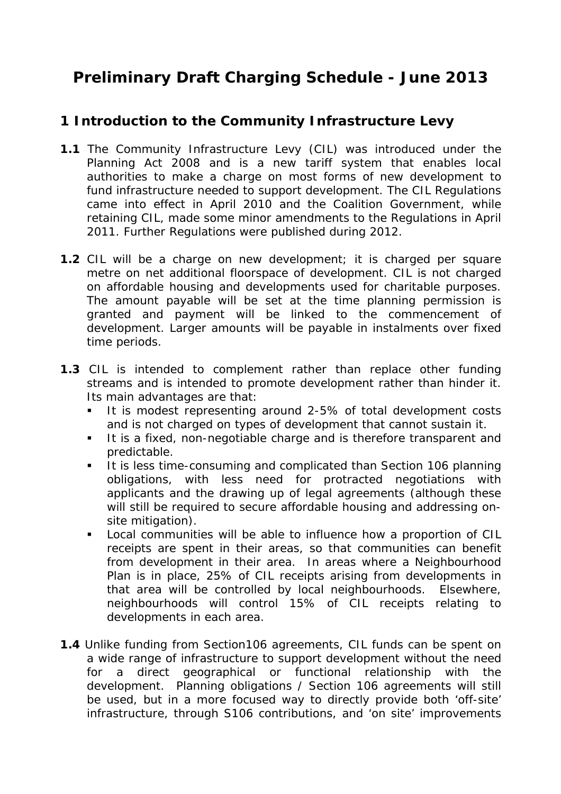# **Preliminary Draft Charging Schedule - June 2013**

# **1 Introduction to the Community Infrastructure Levy**

- **1.1** The Community Infrastructure Levy (CIL) was introduced under the Planning Act 2008 and is a new tariff system that enables local authorities to make a charge on most forms of new development to fund infrastructure needed to support development. The CIL Regulations came into effect in April 2010 and the Coalition Government, while retaining CIL, made some minor amendments to the Regulations in April 2011. Further Regulations were published during 2012.
- **1.2** CIL will be a charge on new development; it is charged per square metre on net additional floorspace of development. CIL is not charged on affordable housing and developments used for charitable purposes. The amount payable will be set at the time planning permission is granted and payment will be linked to the commencement of development. Larger amounts will be payable in instalments over fixed time periods.
- **1.3** CIL is intended to complement rather than replace other funding streams and is intended to promote development rather than hinder it. Its main advantages are that:
	- It is modest representing around 2-5% of total development costs and is not charged on types of development that cannot sustain it.
	- It is a fixed, non-negotiable charge and is therefore transparent and predictable.
	- It is less time-consuming and complicated than Section 106 planning obligations, with less need for protracted negotiations with applicants and the drawing up of legal agreements (although these will still be required to secure affordable housing and addressing onsite mitigation).
	- **Local communities will be able to influence how a proportion of CIL** receipts are spent in their areas, so that communities can benefit from development in their area. In areas where a Neighbourhood Plan is in place, 25% of CIL receipts arising from developments in that area will be controlled by local neighbourhoods. Elsewhere, neighbourhoods will control 15% of CIL receipts relating to developments in each area.
- **1.4** Unlike funding from Section106 agreements, CIL funds can be spent on a wide range of infrastructure to support development without the need for a direct geographical or functional relationship with the development. Planning obligations / Section 106 agreements will still be used, but in a more focused way to directly provide both 'off-site' infrastructure, through S106 contributions, and 'on site' improvements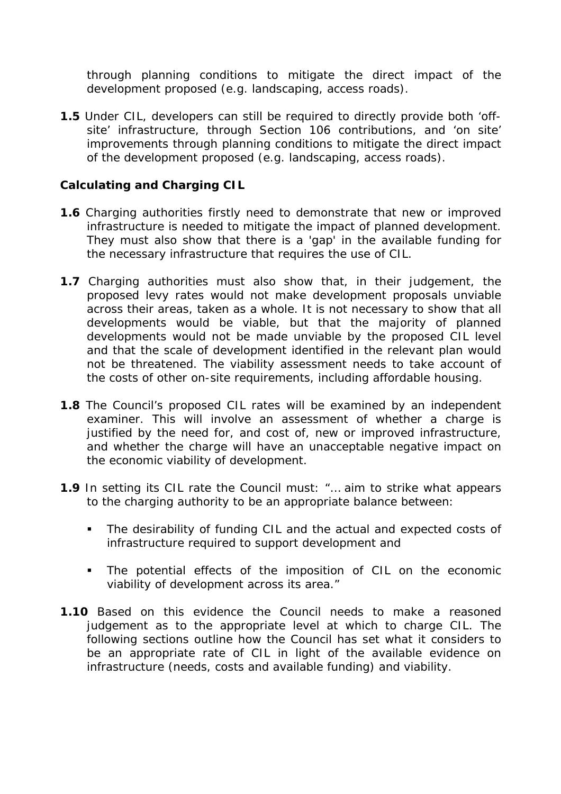through planning conditions to mitigate the direct impact of the development proposed (e.g. landscaping, access roads).

**1.5** Under CIL, developers can still be required to directly provide both 'offsite' infrastructure, through Section 106 contributions, and 'on site' improvements through planning conditions to mitigate the direct impact of the development proposed (e.g. landscaping, access roads).

#### **Calculating and Charging CIL**

- **1.6** Charging authorities firstly need to demonstrate that new or improved infrastructure is needed to mitigate the impact of planned development. They must also show that there is a 'gap' in the available funding for the necessary infrastructure that requires the use of CIL.
- **1.7** Charging authorities must also show that, in their judgement, the proposed levy rates would not make development proposals unviable across their areas, taken as a whole. It is not necessary to show that all developments would be viable, but that the majority of planned developments would not be made unviable by the proposed CIL level and that the scale of development identified in the relevant plan would not be threatened. The viability assessment needs to take account of the costs of other on-site requirements, including affordable housing.
- **1.8** The Council's proposed CIL rates will be examined by an independent examiner. This will involve an assessment of whether a charge is justified by the need for, and cost of, new or improved infrastructure, and whether the charge will have an unacceptable negative impact on the economic viability of development.
- **1.9** In setting its CIL rate the Council must: *"… aim to strike what appears to the charging authority to be an appropriate balance between:* 
	- *The desirability of funding CIL and the actual and expected costs of infrastructure required to support development and*
	- *The potential effects of the imposition of CIL on the economic viability of development across its area."*
- **1.10** Based on this evidence the Council needs to make a reasoned judgement as to the appropriate level at which to charge CIL. The following sections outline how the Council has set what it considers to be an appropriate rate of CIL in light of the available evidence on infrastructure (needs, costs and available funding) and viability.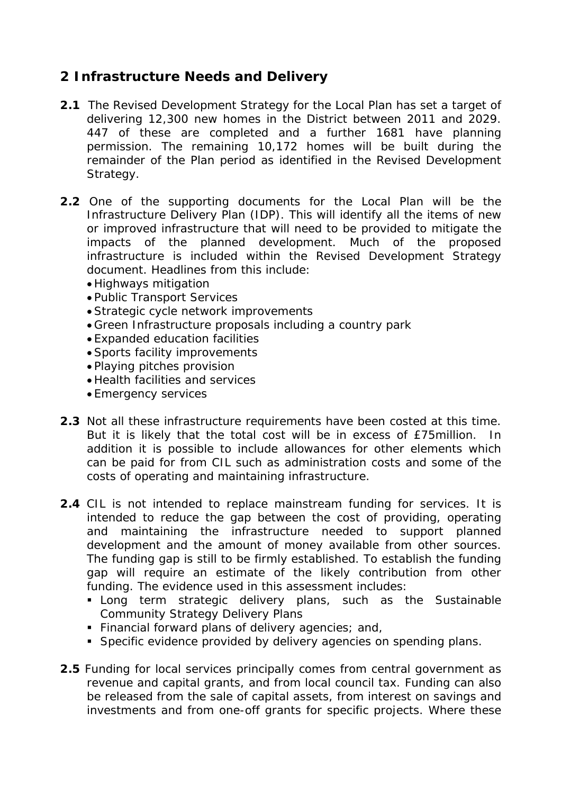## **2 Infrastructure Needs and Delivery**

- **2.1** The Revised Development Strategy for the Local Plan has set a target of delivering 12,300 new homes in the District between 2011 and 2029. 447 of these are completed and a further 1681 have planning permission. The remaining 10,172 homes will be built during the remainder of the Plan period as identified in the Revised Development Strategy.
- **2.2** One of the supporting documents for the Local Plan will be the Infrastructure Delivery Plan (IDP). This will identify all the items of new or improved infrastructure that will need to be provided to mitigate the impacts of the planned development. Much of the proposed infrastructure is included within the Revised Development Strategy document. Headlines from this include:
	- Highways mitigation
	- Public Transport Services
	- Strategic cycle network improvements
	- Green Infrastructure proposals including a country park
	- Expanded education facilities
	- Sports facility improvements
	- Playing pitches provision
	- Health facilities and services
	- Emergency services
- **2.3** Not all these infrastructure requirements have been costed at this time. But it is likely that the total cost will be in excess of £75million. In addition it is possible to include allowances for other elements which can be paid for from CIL such as administration costs and some of the costs of operating and maintaining infrastructure.
- **2.4** CIL is not intended to replace mainstream funding for services. It is intended to reduce the gap between the cost of providing, operating and maintaining the infrastructure needed to support planned development and the amount of money available from other sources. The funding gap is still to be firmly established. To establish the funding gap will require an estimate of the likely contribution from other funding. The evidence used in this assessment includes:
	- **EXTERENGE IS CONTERENT CONTERENT CONTERENT** Long term strategic delivery plans, such as the Sustainable Community Strategy Delivery Plans
	- Financial forward plans of delivery agencies; and,
	- **Specific evidence provided by delivery agencies on spending plans.**
- **2.5** Funding for local services principally comes from central government as revenue and capital grants, and from local council tax. Funding can also be released from the sale of capital assets, from interest on savings and investments and from one-off grants for specific projects. Where these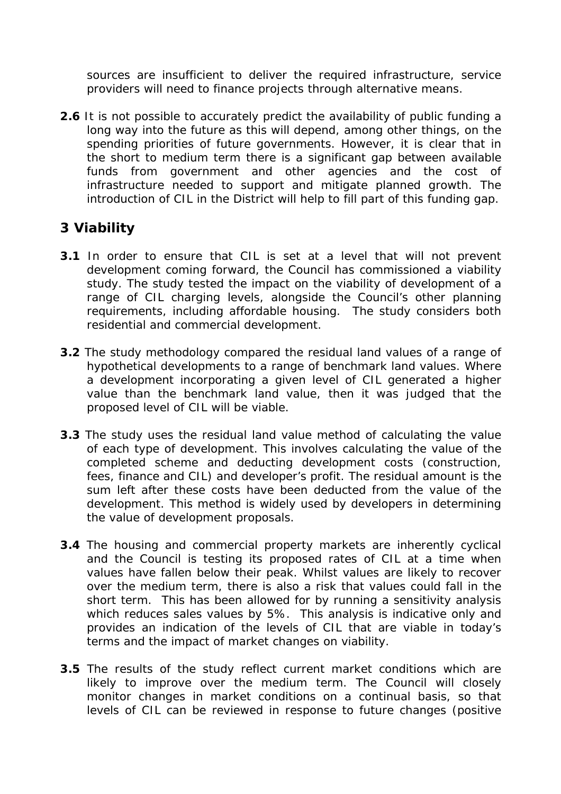sources are insufficient to deliver the required infrastructure, service providers will need to finance projects through alternative means.

**2.6** It is not possible to accurately predict the availability of public funding a long way into the future as this will depend, among other things, on the spending priorities of future governments. However, it is clear that in the short to medium term there is a significant gap between available funds from government and other agencies and the cost of infrastructure needed to support and mitigate planned growth. The introduction of CIL in the District will help to fill part of this funding gap.

### **3 Viability**

- **3.1** In order to ensure that CIL is set at a level that will not prevent development coming forward, the Council has commissioned a viability study. The study tested the impact on the viability of development of a range of CIL charging levels, alongside the Council's other planning requirements, including affordable housing. The study considers both residential and commercial development.
- **3.2** The study methodology compared the residual land values of a range of hypothetical developments to a range of benchmark land values. Where a development incorporating a given level of CIL generated a higher value than the benchmark land value, then it was judged that the proposed level of CIL will be viable.
- **3.3** The study uses the residual land value method of calculating the value of each type of development. This involves calculating the value of the completed scheme and deducting development costs (construction, fees, finance and CIL) and developer's profit. The residual amount is the sum left after these costs have been deducted from the value of the development. This method is widely used by developers in determining the value of development proposals.
- **3.4** The housing and commercial property markets are inherently cyclical and the Council is testing its proposed rates of CIL at a time when values have fallen below their peak. Whilst values are likely to recover over the medium term, there is also a risk that values could fall in the short term. This has been allowed for by running a sensitivity analysis which reduces sales values by 5%. This analysis is indicative only and provides an indication of the levels of CIL that are viable in today's terms and the impact of market changes on viability.
- **3.5** The results of the study reflect current market conditions which are likely to improve over the medium term. The Council will closely monitor changes in market conditions on a continual basis, so that levels of CIL can be reviewed in response to future changes (positive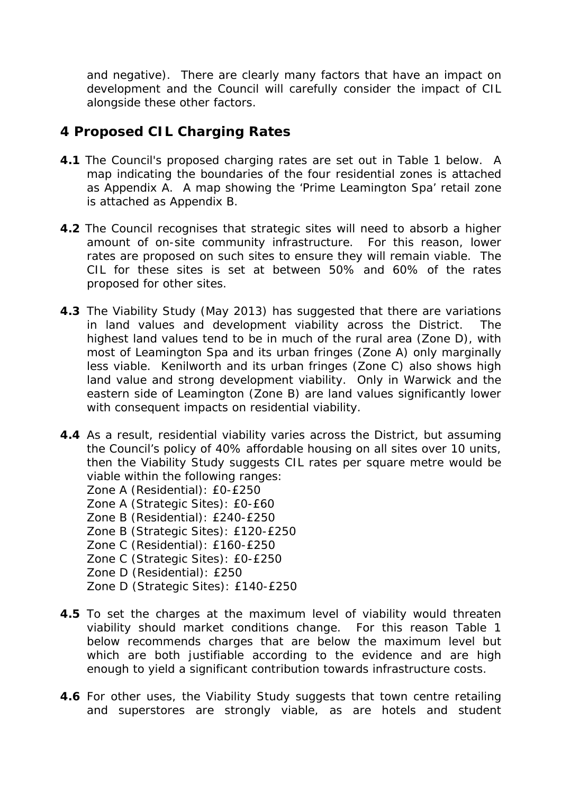and negative). There are clearly many factors that have an impact on development and the Council will carefully consider the impact of CIL alongside these other factors.

### **4 Proposed CIL Charging Rates**

- **4.1** The Council's proposed charging rates are set out in Table 1 below. A map indicating the boundaries of the four residential zones is attached as Appendix A. A map showing the 'Prime Leamington Spa' retail zone is attached as Appendix B.
- **4.2** The Council recognises that strategic sites will need to absorb a higher amount of on-site community infrastructure. For this reason, lower rates are proposed on such sites to ensure they will remain viable. The CIL for these sites is set at between 50% and 60% of the rates proposed for other sites.
- **4.3** The Viability Study (May 2013) has suggested that there are variations in land values and development viability across the District. The highest land values tend to be in much of the rural area (Zone D), with most of Leamington Spa and its urban fringes (Zone A) only marginally less viable. Kenilworth and its urban fringes (Zone C) also shows high land value and strong development viability. Only in Warwick and the eastern side of Leamington (Zone B) are land values significantly lower with consequent impacts on residential viability.
- **4.4** As a result, residential viability varies across the District, but assuming the Council's policy of 40% affordable housing on all sites over 10 units, then the Viability Study suggests CIL rates per square metre would be viable within the following ranges:
	- Zone A (Residential): £0-£250
	- Zone A (Strategic Sites): £0-£60
	- Zone B (Residential): £240-£250
	- Zone B (Strategic Sites): £120-£250
	- Zone C (Residential): £160-£250
	- Zone C (Strategic Sites): £0-£250
	- Zone D (Residential): £250
	- Zone D (Strategic Sites): £140-£250
- **4.5** To set the charges at the maximum level of viability would threaten viability should market conditions change. For this reason Table 1 below recommends charges that are below the maximum level but which are both justifiable according to the evidence and are high enough to yield a significant contribution towards infrastructure costs.
- **4.6** For other uses, the Viability Study suggests that town centre retailing and superstores are strongly viable, as are hotels and student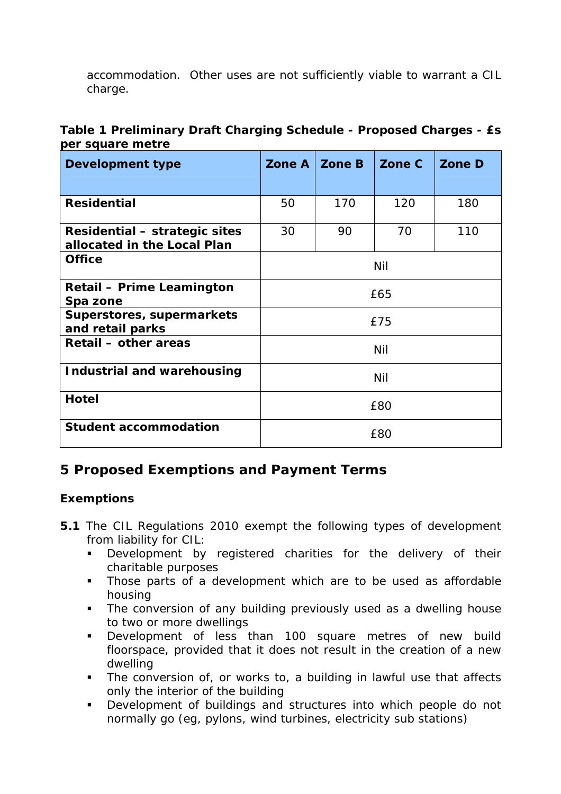accommodation. Other uses are not sufficiently viable to warrant a CIL charge.

|                  | Table 1 Preliminary Draft Charging Schedule - Proposed Charges - £s |
|------------------|---------------------------------------------------------------------|
| per square metre |                                                                     |

| <b>Development type</b>                                      | Zone A | <b>Zone B</b> | Zone C | <b>Zone D</b> |  |
|--------------------------------------------------------------|--------|---------------|--------|---------------|--|
|                                                              |        |               |        |               |  |
| <b>Residential</b>                                           | 50     | 170           | 120    | 180           |  |
| Residential – strategic sites<br>allocated in the Local Plan | 30     | 90            | 70     | 110           |  |
| <b>Office</b>                                                | Nil    |               |        |               |  |
| <b>Retail - Prime Leamington</b><br>Spa zone                 | £65    |               |        |               |  |
| Superstores, supermarkets<br>and retail parks                | £75    |               |        |               |  |
| Retail – other areas                                         | Nil    |               |        |               |  |
| Industrial and warehousing                                   | Nil    |               |        |               |  |
| <b>Hotel</b>                                                 | £80    |               |        |               |  |
| <b>Student accommodation</b>                                 | £80    |               |        |               |  |

## **5 Proposed Exemptions and Payment Terms**

#### **Exemptions**

- **5.1** The CIL Regulations 2010 exempt the following types of development from liability for CIL:
	- **Development by registered charities for the delivery of their** charitable purposes
	- **Those parts of a development which are to be used as affordable** housing
	- The conversion of any building previously used as a dwelling house to two or more dwellings
	- Development of less than 100 square metres of new build floorspace, provided that it does not result in the creation of a new dwelling
	- The conversion of, or works to, a building in lawful use that affects only the interior of the building
	- Development of buildings and structures into which people do not normally go (eg, pylons, wind turbines, electricity sub stations)